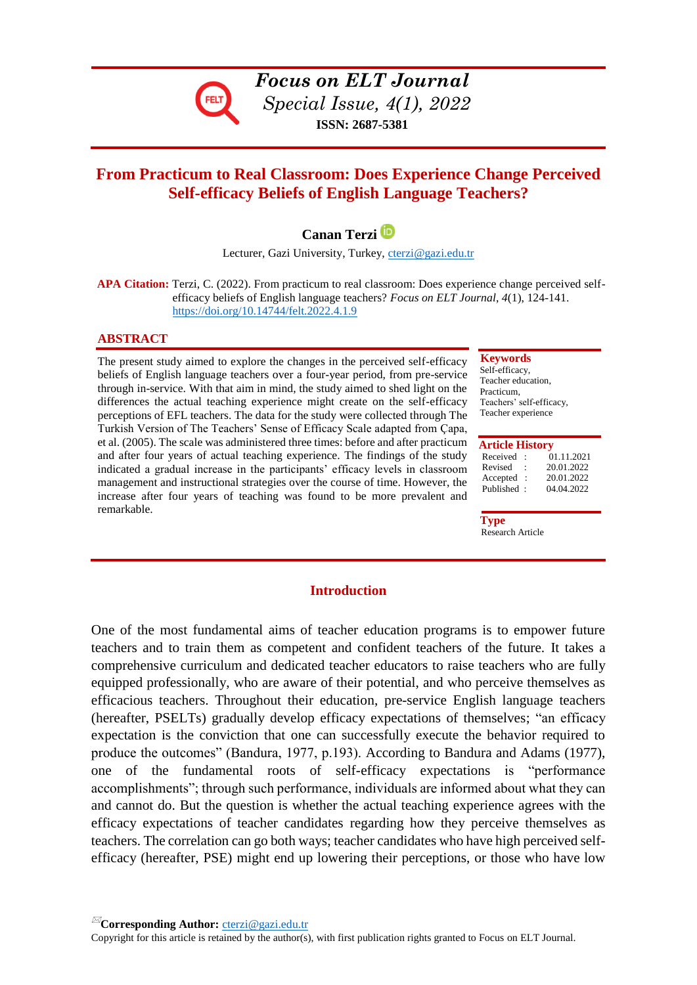

*Focus on ELT Journal Special Issue, 4(1), 2022* **ISSN: 2687-5381**

# **From Practicum to Real Classroom: Does Experience Change Perceived Self-efficacy Beliefs of English Language Teachers?**

# **Canan Terzi**

Lecturer, Gazi University, Turkey, [cterzi@gazi.edu.tr](mailto:cterzi@gazi.edu.tr)

 **APA Citation:** Terzi, C. (2022). From practicum to real classroom: Does experience change perceived selfefficacy beliefs of English language teachers? *Focus on ELT Journal*, *4*(1), 124-141. <https://doi.org/10.14744/felt.2022.4.1.9>

## **ABSTRACT**

The present study aimed to explore the changes in the perceived self-efficacy beliefs of English language teachers over a four-year period, from pre-service through in-service. With that aim in mind, the study aimed to shed light on the differences the actual teaching experience might create on the self-efficacy perceptions of EFL teachers. The data for the study were collected through The Turkish Version of The Teachers' Sense of Efficacy Scale adapted from Çapa, et al. (2005). The scale was administered three times: before and after practicum and after four years of actual teaching experience. The findings of the study indicated a gradual increase in the participants' efficacy levels in classroom management and instructional strategies over the course of time. However, the increase after four years of teaching was found to be more prevalent and remarkable.

#### **Keywords**

Self-efficacy, Teacher education, Practicum, Teachers' self-efficacy, Teacher experience

#### **Article History**

| Received   | $\cdot$   | 01.11.2021 |
|------------|-----------|------------|
| Revised    | ٠         | 20.01.2022 |
| Accepted   | $\cdot$ : | 20.01.2022 |
| Published: |           | 04.04.2022 |
|            |           |            |

 **Type** Research Article

## **Introduction**

One of the most fundamental aims of teacher education programs is to empower future teachers and to train them as competent and confident teachers of the future. It takes a comprehensive curriculum and dedicated teacher educators to raise teachers who are fully equipped professionally, who are aware of their potential, and who perceive themselves as efficacious teachers. Throughout their education, pre-service English language teachers (hereafter, PSELTs) gradually develop efficacy expectations of themselves; "an efficacy expectation is the conviction that one can successfully execute the behavior required to produce the outcomes" (Bandura, 1977, p.193). According to Bandura and Adams (1977), one of the fundamental roots of self-efficacy expectations is "performance accomplishments"; through such performance, individuals are informed about what they can and cannot do. But the question is whether the actual teaching experience agrees with the efficacy expectations of teacher candidates regarding how they perceive themselves as teachers. The correlation can go both ways; teacher candidates who have high perceived selfefficacy (hereafter, PSE) might end up lowering their perceptions, or those who have low

**Corresponding Author:** [cterzi@gazi.edu.tr](mailto:cterzi@gazi.edu.tr)

Copyright for this article is retained by the author(s), with first publication rights granted to Focus on ELT Journal.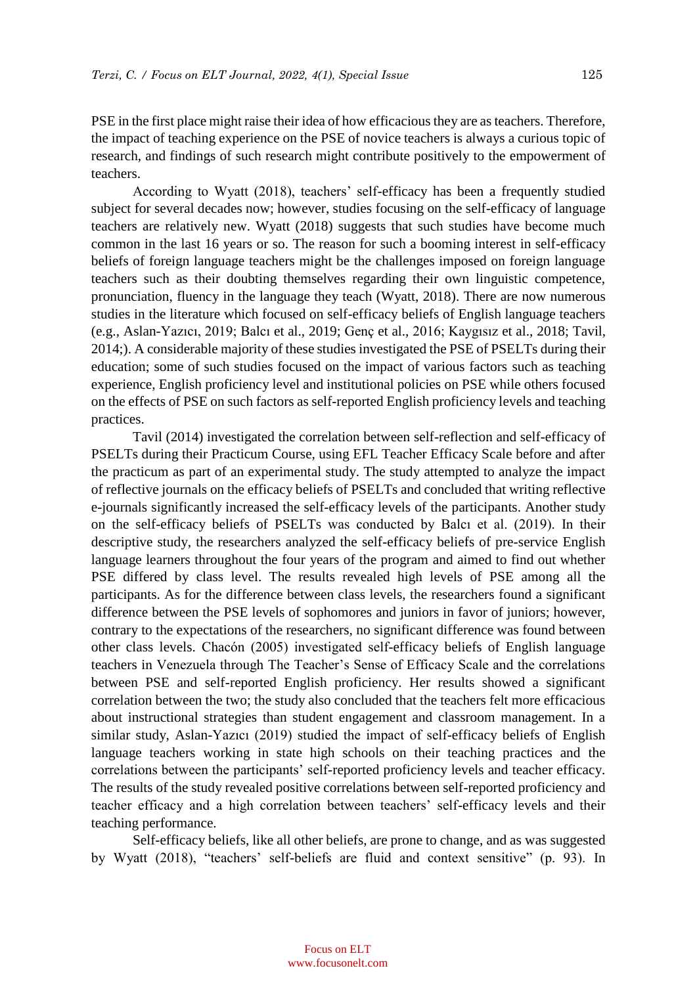PSE in the first place might raise their idea of how efficacious they are as teachers. Therefore, the impact of teaching experience on the PSE of novice teachers is always a curious topic of research, and findings of such research might contribute positively to the empowerment of teachers.

According to Wyatt (2018), teachers' self-efficacy has been a frequently studied subject for several decades now; however, studies focusing on the self-efficacy of language teachers are relatively new. Wyatt (2018) suggests that such studies have become much common in the last 16 years or so. The reason for such a booming interest in self-efficacy beliefs of foreign language teachers might be the challenges imposed on foreign language teachers such as their doubting themselves regarding their own linguistic competence, pronunciation, fluency in the language they teach (Wyatt, 2018). There are now numerous studies in the literature which focused on self-efficacy beliefs of English language teachers (e.g., Aslan-Yazıcı, 2019; Balcı et al., 2019; Genç et al., 2016; Kaygısız et al., 2018; Tavil, 2014;). A considerable majority of these studies investigated the PSE of PSELTs during their education; some of such studies focused on the impact of various factors such as teaching experience, English proficiency level and institutional policies on PSE while others focused on the effects of PSE on such factors as self-reported English proficiency levels and teaching practices.

Tavil (2014) investigated the correlation between self-reflection and self-efficacy of PSELTs during their Practicum Course, using EFL Teacher Efficacy Scale before and after the practicum as part of an experimental study. The study attempted to analyze the impact of reflective journals on the efficacy beliefs of PSELTs and concluded that writing reflective e-journals significantly increased the self-efficacy levels of the participants. Another study on the self-efficacy beliefs of PSELTs was conducted by Balcı et al. (2019). In their descriptive study, the researchers analyzed the self-efficacy beliefs of pre-service English language learners throughout the four years of the program and aimed to find out whether PSE differed by class level. The results revealed high levels of PSE among all the participants. As for the difference between class levels, the researchers found a significant difference between the PSE levels of sophomores and juniors in favor of juniors; however, contrary to the expectations of the researchers, no significant difference was found between other class levels. Chacón (2005) investigated self-efficacy beliefs of English language teachers in Venezuela through The Teacher's Sense of Efficacy Scale and the correlations between PSE and self-reported English proficiency. Her results showed a significant correlation between the two; the study also concluded that the teachers felt more efficacious about instructional strategies than student engagement and classroom management. In a similar study, Aslan-Yazıcı (2019) studied the impact of self-efficacy beliefs of English language teachers working in state high schools on their teaching practices and the correlations between the participants' self-reported proficiency levels and teacher efficacy. The results of the study revealed positive correlations between self-reported proficiency and teacher efficacy and a high correlation between teachers' self-efficacy levels and their teaching performance.

Self-efficacy beliefs, like all other beliefs, are prone to change, and as was suggested by Wyatt (2018), "teachers' self-beliefs are fluid and context sensitive" (p. 93). In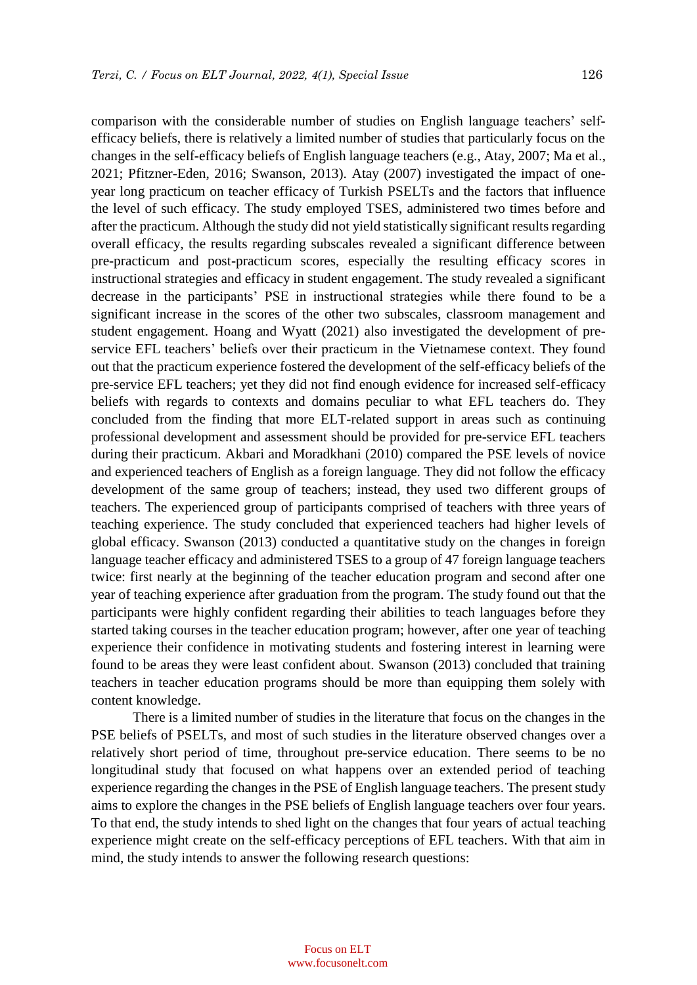comparison with the considerable number of studies on English language teachers' selfefficacy beliefs, there is relatively a limited number of studies that particularly focus on the changes in the self-efficacy beliefs of English language teachers (e.g., Atay, 2007; Ma et al., 2021; Pfitzner-Eden, 2016; Swanson, 2013). Atay (2007) investigated the impact of oneyear long practicum on teacher efficacy of Turkish PSELTs and the factors that influence the level of such efficacy. The study employed TSES, administered two times before and after the practicum. Although the study did not yield statistically significant results regarding overall efficacy, the results regarding subscales revealed a significant difference between pre-practicum and post-practicum scores, especially the resulting efficacy scores in instructional strategies and efficacy in student engagement. The study revealed a significant decrease in the participants' PSE in instructional strategies while there found to be a significant increase in the scores of the other two subscales, classroom management and student engagement. Hoang and Wyatt (2021) also investigated the development of preservice EFL teachers' beliefs over their practicum in the Vietnamese context. They found out that the practicum experience fostered the development of the self-efficacy beliefs of the pre-service EFL teachers; yet they did not find enough evidence for increased self-efficacy beliefs with regards to contexts and domains peculiar to what EFL teachers do. They concluded from the finding that more ELT-related support in areas such as continuing professional development and assessment should be provided for pre-service EFL teachers during their practicum. Akbari and Moradkhani (2010) compared the PSE levels of novice and experienced teachers of English as a foreign language. They did not follow the efficacy development of the same group of teachers; instead, they used two different groups of teachers. The experienced group of participants comprised of teachers with three years of teaching experience. The study concluded that experienced teachers had higher levels of global efficacy. Swanson (2013) conducted a quantitative study on the changes in foreign language teacher efficacy and administered TSES to a group of 47 foreign language teachers twice: first nearly at the beginning of the teacher education program and second after one year of teaching experience after graduation from the program. The study found out that the participants were highly confident regarding their abilities to teach languages before they started taking courses in the teacher education program; however, after one year of teaching experience their confidence in motivating students and fostering interest in learning were found to be areas they were least confident about. Swanson (2013) concluded that training teachers in teacher education programs should be more than equipping them solely with content knowledge.

There is a limited number of studies in the literature that focus on the changes in the PSE beliefs of PSELTs, and most of such studies in the literature observed changes over a relatively short period of time, throughout pre-service education. There seems to be no longitudinal study that focused on what happens over an extended period of teaching experience regarding the changes in the PSE of English language teachers. The present study aims to explore the changes in the PSE beliefs of English language teachers over four years. To that end, the study intends to shed light on the changes that four years of actual teaching experience might create on the self-efficacy perceptions of EFL teachers. With that aim in mind, the study intends to answer the following research questions: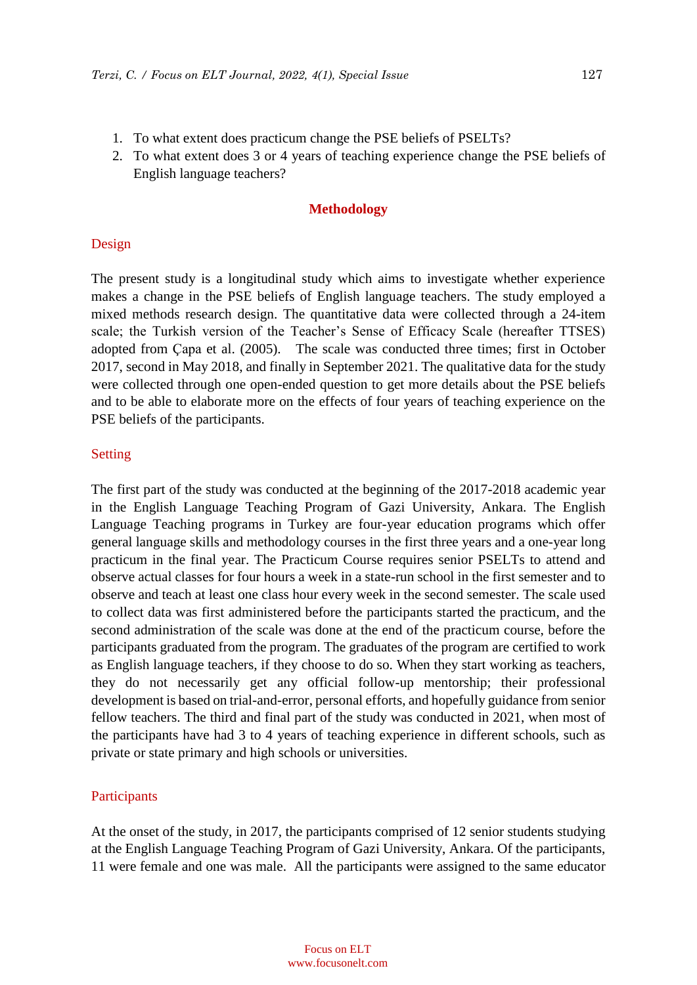- 1. To what extent does practicum change the PSE beliefs of PSELTs?
- 2. To what extent does 3 or 4 years of teaching experience change the PSE beliefs of English language teachers?

### **Methodology**

## Design

The present study is a longitudinal study which aims to investigate whether experience makes a change in the PSE beliefs of English language teachers. The study employed a mixed methods research design. The quantitative data were collected through a 24-item scale; the Turkish version of the Teacher's Sense of Efficacy Scale (hereafter TTSES) adopted from Çapa et al. (2005). The scale was conducted three times; first in October 2017, second in May 2018, and finally in September 2021. The qualitative data for the study were collected through one open-ended question to get more details about the PSE beliefs and to be able to elaborate more on the effects of four years of teaching experience on the PSE beliefs of the participants.

## Setting

The first part of the study was conducted at the beginning of the 2017-2018 academic year in the English Language Teaching Program of Gazi University, Ankara. The English Language Teaching programs in Turkey are four-year education programs which offer general language skills and methodology courses in the first three years and a one-year long practicum in the final year. The Practicum Course requires senior PSELTs to attend and observe actual classes for four hours a week in a state-run school in the first semester and to observe and teach at least one class hour every week in the second semester. The scale used to collect data was first administered before the participants started the practicum, and the second administration of the scale was done at the end of the practicum course, before the participants graduated from the program. The graduates of the program are certified to work as English language teachers, if they choose to do so. When they start working as teachers, they do not necessarily get any official follow-up mentorship; their professional development is based on trial-and-error, personal efforts, and hopefully guidance from senior fellow teachers. The third and final part of the study was conducted in 2021, when most of the participants have had 3 to 4 years of teaching experience in different schools, such as private or state primary and high schools or universities.

## Participants

At the onset of the study, in 2017, the participants comprised of 12 senior students studying at the English Language Teaching Program of Gazi University, Ankara. Of the participants, 11 were female and one was male. All the participants were assigned to the same educator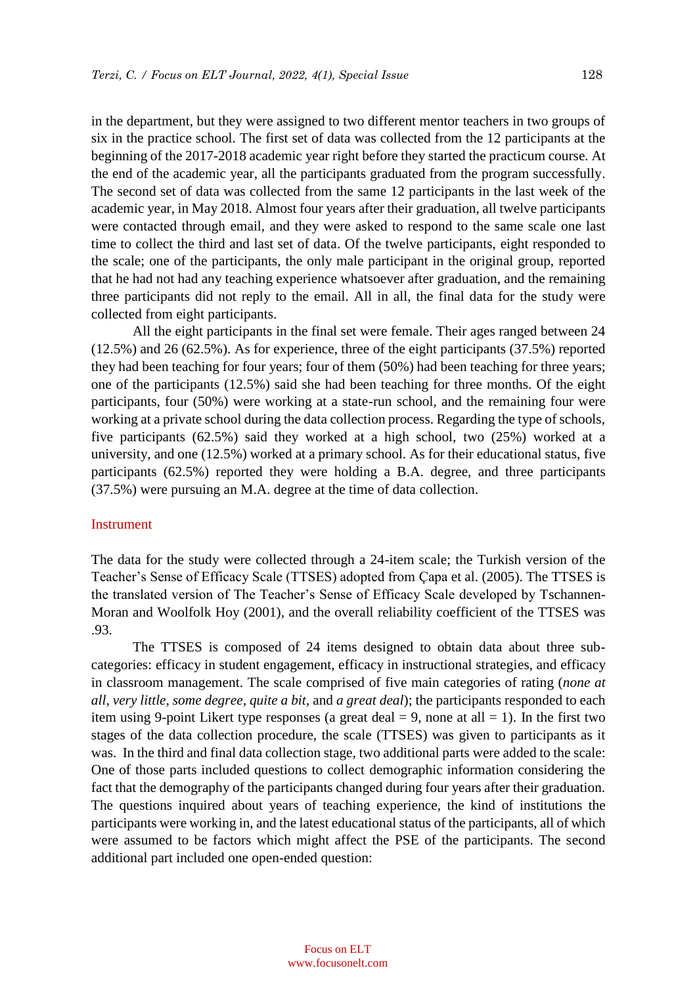in the department, but they were assigned to two different mentor teachers in two groups of six in the practice school. The first set of data was collected from the 12 participants at the beginning of the 2017-2018 academic year right before they started the practicum course. At the end of the academic year, all the participants graduated from the program successfully. The second set of data was collected from the same 12 participants in the last week of the academic year, in May 2018. Almost four years after their graduation, all twelve participants were contacted through email, and they were asked to respond to the same scale one last time to collect the third and last set of data. Of the twelve participants, eight responded to the scale; one of the participants, the only male participant in the original group, reported that he had not had any teaching experience whatsoever after graduation, and the remaining three participants did not reply to the email. All in all, the final data for the study were collected from eight participants.

All the eight participants in the final set were female. Their ages ranged between 24 (12.5%) and 26 (62.5%). As for experience, three of the eight participants (37.5%) reported they had been teaching for four years; four of them (50%) had been teaching for three years; one of the participants (12.5%) said she had been teaching for three months. Of the eight participants, four (50%) were working at a state-run school, and the remaining four were working at a private school during the data collection process. Regarding the type of schools, five participants (62.5%) said they worked at a high school, two (25%) worked at a university, and one (12.5%) worked at a primary school. As for their educational status, five participants (62.5%) reported they were holding a B.A. degree, and three participants (37.5%) were pursuing an M.A. degree at the time of data collection.

#### Instrument

The data for the study were collected through a 24-item scale; the Turkish version of the Teacher's Sense of Efficacy Scale (TTSES) adopted from Çapa et al. (2005). The TTSES is the translated version of The Teacher's Sense of Efficacy Scale developed by Tschannen-Moran and Woolfolk Hoy (2001), and the overall reliability coefficient of the TTSES was .93.

The TTSES is composed of 24 items designed to obtain data about three subcategories: efficacy in student engagement, efficacy in instructional strategies, and efficacy in classroom management. The scale comprised of five main categories of rating (*none at all, very little, some degree, quite a bit,* and *a great deal*); the participants responded to each item using 9-point Likert type responses (a great deal  $= 9$ , none at all  $= 1$ ). In the first two stages of the data collection procedure, the scale (TTSES) was given to participants as it was. In the third and final data collection stage, two additional parts were added to the scale: One of those parts included questions to collect demographic information considering the fact that the demography of the participants changed during four years after their graduation. The questions inquired about years of teaching experience, the kind of institutions the participants were working in, and the latest educational status of the participants, all of which were assumed to be factors which might affect the PSE of the participants. The second additional part included one open-ended question: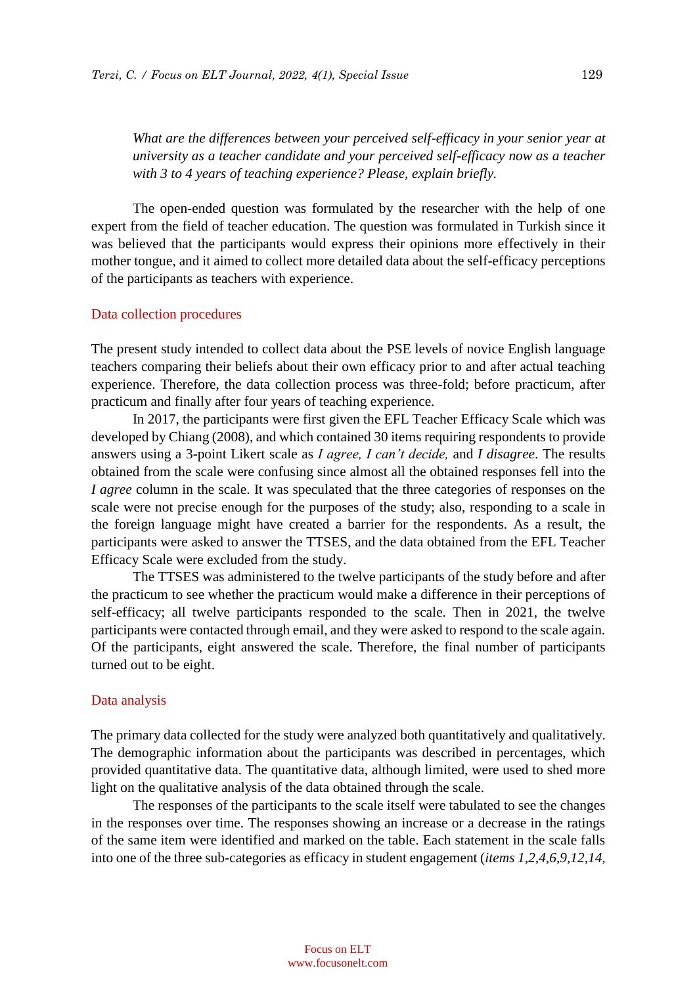*What are the differences between your perceived self-efficacy in your senior year at university as a teacher candidate and your perceived self-efficacy now as a teacher with 3 to 4 years of teaching experience? Please, explain briefly.* 

The open-ended question was formulated by the researcher with the help of one expert from the field of teacher education. The question was formulated in Turkish since it was believed that the participants would express their opinions more effectively in their mother tongue, and it aimed to collect more detailed data about the self-efficacy perceptions of the participants as teachers with experience.

#### Data collection procedures

The present study intended to collect data about the PSE levels of novice English language teachers comparing their beliefs about their own efficacy prior to and after actual teaching experience. Therefore, the data collection process was three-fold; before practicum, after practicum and finally after four years of teaching experience.

In 2017, the participants were first given the EFL Teacher Efficacy Scale which was developed by Chiang (2008), and which contained 30 items requiring respondents to provide answers using a 3-point Likert scale as *I agree, I can't decide,* and *I disagree*. The results obtained from the scale were confusing since almost all the obtained responses fell into the *I agree* column in the scale. It was speculated that the three categories of responses on the scale were not precise enough for the purposes of the study; also, responding to a scale in the foreign language might have created a barrier for the respondents. As a result, the participants were asked to answer the TTSES, and the data obtained from the EFL Teacher Efficacy Scale were excluded from the study.

The TTSES was administered to the twelve participants of the study before and after the practicum to see whether the practicum would make a difference in their perceptions of self-efficacy; all twelve participants responded to the scale. Then in 2021, the twelve participants were contacted through email, and they were asked to respond to the scale again. Of the participants, eight answered the scale. Therefore, the final number of participants turned out to be eight.

#### Data analysis

The primary data collected for the study were analyzed both quantitatively and qualitatively. The demographic information about the participants was described in percentages, which provided quantitative data. The quantitative data, although limited, were used to shed more light on the qualitative analysis of the data obtained through the scale.

The responses of the participants to the scale itself were tabulated to see the changes in the responses over time. The responses showing an increase or a decrease in the ratings of the same item were identified and marked on the table. Each statement in the scale falls into one of the three sub-categories as efficacy in student engagement (*items 1,2,4,6,9,12,14,*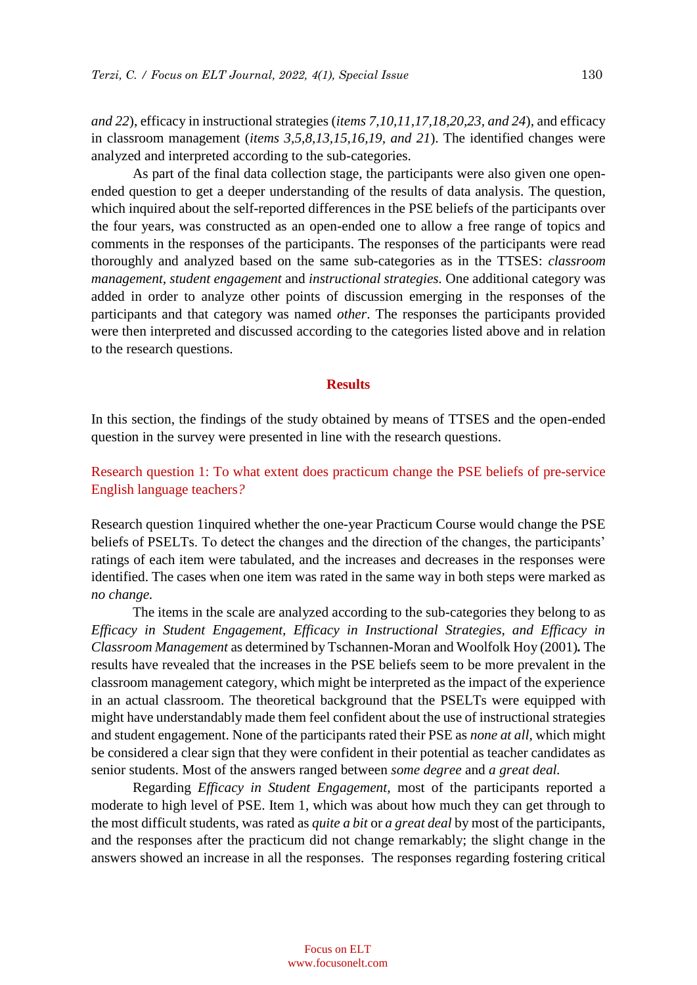*and 22*), efficacy in instructional strategies (*items 7,10,11,17,18,20,23, and 24*), and efficacy in classroom management (*items 3,5,8,13,15,16,19, and 21*). The identified changes were analyzed and interpreted according to the sub-categories.

As part of the final data collection stage, the participants were also given one openended question to get a deeper understanding of the results of data analysis. The question, which inquired about the self-reported differences in the PSE beliefs of the participants over the four years, was constructed as an open-ended one to allow a free range of topics and comments in the responses of the participants. The responses of the participants were read thoroughly and analyzed based on the same sub-categories as in the TTSES: *classroom management, student engagement* and *instructional strategies.* One additional category was added in order to analyze other points of discussion emerging in the responses of the participants and that category was named *other*. The responses the participants provided were then interpreted and discussed according to the categories listed above and in relation to the research questions.

## **Results**

In this section, the findings of the study obtained by means of TTSES and the open-ended question in the survey were presented in line with the research questions.

## Research question 1: To what extent does practicum change the PSE beliefs of pre-service English language teachers*?*

Research question 1inquired whether the one-year Practicum Course would change the PSE beliefs of PSELTs. To detect the changes and the direction of the changes, the participants' ratings of each item were tabulated, and the increases and decreases in the responses were identified. The cases when one item was rated in the same way in both steps were marked as *no change.* 

The items in the scale are analyzed according to the sub-categories they belong to as *Efficacy in Student Engagement, Efficacy in Instructional Strategies, and Efficacy in Classroom Management* as determined by Tschannen-Moran and Woolfolk Hoy (2001)*.* The results have revealed that the increases in the PSE beliefs seem to be more prevalent in the classroom management category, which might be interpreted as the impact of the experience in an actual classroom. The theoretical background that the PSELTs were equipped with might have understandably made them feel confident about the use of instructional strategies and student engagement. None of the participants rated their PSE as *none at all,* which might be considered a clear sign that they were confident in their potential as teacher candidates as senior students. Most of the answers ranged between *some degree* and *a great deal.* 

Regarding *Efficacy in Student Engagement,* most of the participants reported a moderate to high level of PSE. Item 1, which was about how much they can get through to the most difficult students, was rated as *quite a bit* or *a great deal* by most of the participants, and the responses after the practicum did not change remarkably; the slight change in the answers showed an increase in all the responses. The responses regarding fostering critical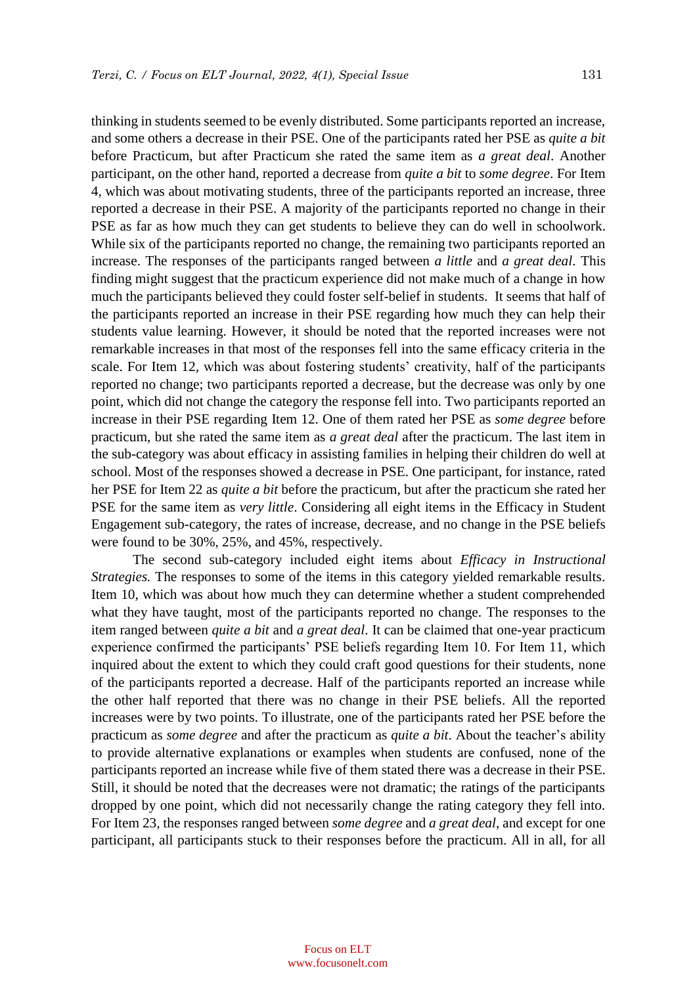thinking in students seemed to be evenly distributed. Some participants reported an increase, and some others a decrease in their PSE. One of the participants rated her PSE as *quite a bit* before Practicum, but after Practicum she rated the same item as *a great deal*. Another participant, on the other hand, reported a decrease from *quite a bit* to *some degree*. For Item 4*,* which was about motivating students, three of the participants reported an increase, three reported a decrease in their PSE. A majority of the participants reported no change in their PSE as far as how much they can get students to believe they can do well in schoolwork. While six of the participants reported no change, the remaining two participants reported an increase. The responses of the participants ranged between *a little* and *a great deal*. This finding might suggest that the practicum experience did not make much of a change in how much the participants believed they could foster self-belief in students. It seems that half of the participants reported an increase in their PSE regarding how much they can help their students value learning. However, it should be noted that the reported increases were not remarkable increases in that most of the responses fell into the same efficacy criteria in the scale. For Item 12*,* which was about fostering students' creativity, half of the participants reported no change; two participants reported a decrease, but the decrease was only by one point, which did not change the category the response fell into. Two participants reported an increase in their PSE regarding Item 12. One of them rated her PSE as *some degree* before practicum, but she rated the same item as *a great deal* after the practicum. The last item in the sub-category was about efficacy in assisting families in helping their children do well at school. Most of the responses showed a decrease in PSE. One participant, for instance, rated her PSE for Item 22 as *quite a bit* before the practicum, but after the practicum she rated her PSE for the same item as *very little*. Considering all eight items in the Efficacy in Student Engagement sub-category, the rates of increase, decrease, and no change in the PSE beliefs were found to be 30%, 25%, and 45%, respectively.

The second sub-category included eight items about *Efficacy in Instructional Strategies.* The responses to some of the items in this category yielded remarkable results. Item 10*,* which was about how much they can determine whether a student comprehended what they have taught, most of the participants reported no change. The responses to the item ranged between *quite a bit* and *a great deal*. It can be claimed that one-year practicum experience confirmed the participants' PSE beliefs regarding Item 10. For Item 11*,* which inquired about the extent to which they could craft good questions for their students, none of the participants reported a decrease. Half of the participants reported an increase while the other half reported that there was no change in their PSE beliefs. All the reported increases were by two points. To illustrate, one of the participants rated her PSE before the practicum as *some degree* and after the practicum as *quite a bit*. About the teacher's ability to provide alternative explanations or examples when students are confused, none of the participants reported an increase while five of them stated there was a decrease in their PSE. Still, it should be noted that the decreases were not dramatic; the ratings of the participants dropped by one point, which did not necessarily change the rating category they fell into. For Item 23*,* the responses ranged between *some degree* and *a great deal*, and except for one participant, all participants stuck to their responses before the practicum. All in all, for all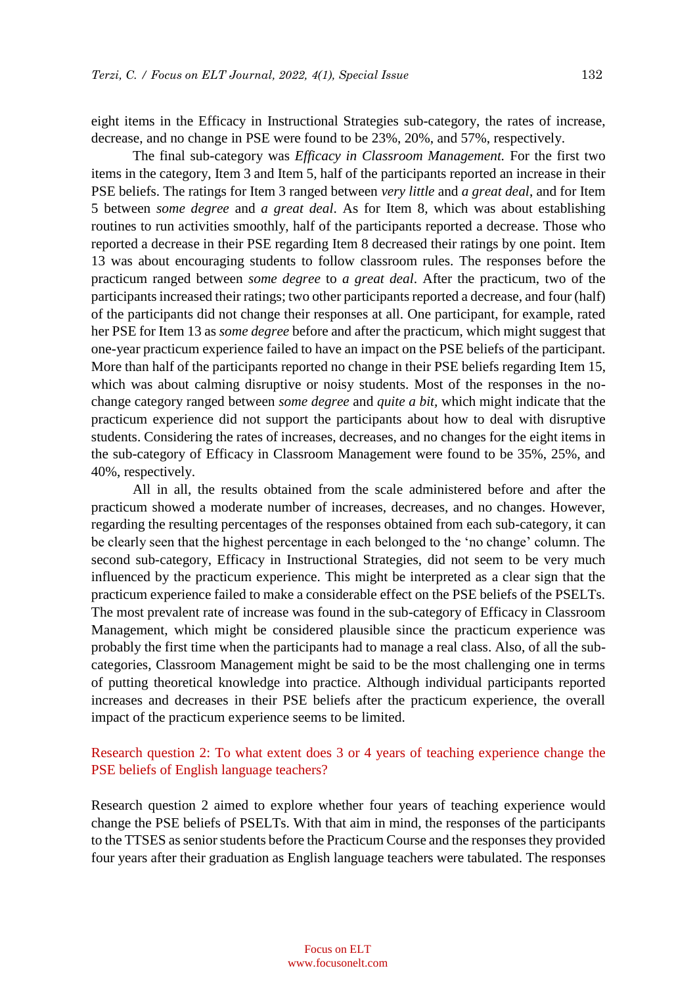eight items in the Efficacy in Instructional Strategies sub-category, the rates of increase, decrease, and no change in PSE were found to be 23%, 20%, and 57%, respectively.

The final sub-category was *Efficacy in Classroom Management.* For the first two items in the category, Item 3 and Item 5*,* half of the participants reported an increase in their PSE beliefs. The ratings for Item 3 ranged between *very little* and *a great deal*, and for Item 5 between *some degree* and *a great deal*. As for Item 8*,* which was about establishing routines to run activities smoothly, half of the participants reported a decrease. Those who reported a decrease in their PSE regarding Item 8 decreased their ratings by one point. Item 13 was about encouraging students to follow classroom rules. The responses before the practicum ranged between *some degree* to *a great deal*. After the practicum, two of the participants increased their ratings; two other participants reported a decrease, and four (half) of the participants did not change their responses at all. One participant, for example, rated her PSE for Item 13 as *some degree* before and after the practicum, which might suggest that one-year practicum experience failed to have an impact on the PSE beliefs of the participant. More than half of the participants reported no change in their PSE beliefs regarding Item 15, which was about calming disruptive or noisy students. Most of the responses in the nochange category ranged between *some degree* and *quite a bit,* which might indicate that the practicum experience did not support the participants about how to deal with disruptive students. Considering the rates of increases, decreases, and no changes for the eight items in the sub-category of Efficacy in Classroom Management were found to be 35%, 25%, and 40%, respectively.

All in all, the results obtained from the scale administered before and after the practicum showed a moderate number of increases, decreases, and no changes. However, regarding the resulting percentages of the responses obtained from each sub-category, it can be clearly seen that the highest percentage in each belonged to the 'no change' column. The second sub-category, Efficacy in Instructional Strategies, did not seem to be very much influenced by the practicum experience. This might be interpreted as a clear sign that the practicum experience failed to make a considerable effect on the PSE beliefs of the PSELTs. The most prevalent rate of increase was found in the sub-category of Efficacy in Classroom Management, which might be considered plausible since the practicum experience was probably the first time when the participants had to manage a real class. Also, of all the subcategories, Classroom Management might be said to be the most challenging one in terms of putting theoretical knowledge into practice. Although individual participants reported increases and decreases in their PSE beliefs after the practicum experience, the overall impact of the practicum experience seems to be limited.

## Research question 2: To what extent does 3 or 4 years of teaching experience change the PSE beliefs of English language teachers?

Research question 2 aimed to explore whether four years of teaching experience would change the PSE beliefs of PSELTs. With that aim in mind, the responses of the participants to the TTSES as senior students before the Practicum Course and the responses they provided four years after their graduation as English language teachers were tabulated. The responses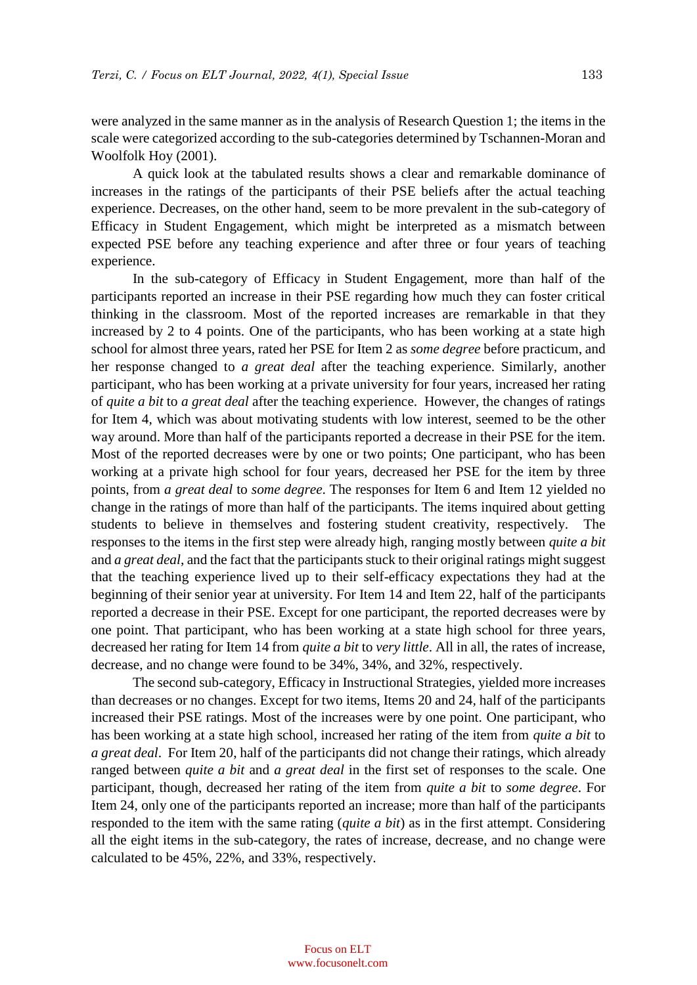were analyzed in the same manner as in the analysis of Research Question 1; the items in the scale were categorized according to the sub-categories determined by Tschannen-Moran and Woolfolk Hoy (2001).

A quick look at the tabulated results shows a clear and remarkable dominance of increases in the ratings of the participants of their PSE beliefs after the actual teaching experience. Decreases, on the other hand, seem to be more prevalent in the sub-category of Efficacy in Student Engagement, which might be interpreted as a mismatch between expected PSE before any teaching experience and after three or four years of teaching experience.

In the sub-category of Efficacy in Student Engagement, more than half of the participants reported an increase in their PSE regarding how much they can foster critical thinking in the classroom. Most of the reported increases are remarkable in that they increased by 2 to 4 points. One of the participants, who has been working at a state high school for almost three years, rated her PSE for Item 2 as *some degree* before practicum, and her response changed to *a great deal* after the teaching experience. Similarly, another participant, who has been working at a private university for four years, increased her rating of *quite a bit* to *a great deal* after the teaching experience. However, the changes of ratings for Item 4*,* which was about motivating students with low interest, seemed to be the other way around. More than half of the participants reported a decrease in their PSE for the item. Most of the reported decreases were by one or two points; One participant, who has been working at a private high school for four years, decreased her PSE for the item by three points, from *a great deal* to *some degree*. The responses for Item 6 and Item 12 yielded no change in the ratings of more than half of the participants. The items inquired about getting students to believe in themselves and fostering student creativity, respectively. The responses to the items in the first step were already high, ranging mostly between *quite a bit* and *a great deal*, and the fact that the participants stuck to their original ratings might suggest that the teaching experience lived up to their self-efficacy expectations they had at the beginning of their senior year at university. For Item 14 and Item 22, half of the participants reported a decrease in their PSE. Except for one participant, the reported decreases were by one point. That participant, who has been working at a state high school for three years, decreased her rating for Item 14 from *quite a bit* to *very little*. All in all, the rates of increase, decrease, and no change were found to be 34%, 34%, and 32%, respectively.

The second sub-category, Efficacy in Instructional Strategies, yielded more increases than decreases or no changes. Except for two items, Items 20 and 24*,* half of the participants increased their PSE ratings. Most of the increases were by one point. One participant, who has been working at a state high school, increased her rating of the item from *quite a bit* to *a great deal*. For Item 20, half of the participants did not change their ratings, which already ranged between *quite a bit* and *a great deal* in the first set of responses to the scale. One participant, though, decreased her rating of the item from *quite a bit* to *some degree*. For Item 24, only one of the participants reported an increase; more than half of the participants responded to the item with the same rating (*quite a bit*) as in the first attempt. Considering all the eight items in the sub-category, the rates of increase, decrease, and no change were calculated to be 45%, 22%, and 33%, respectively.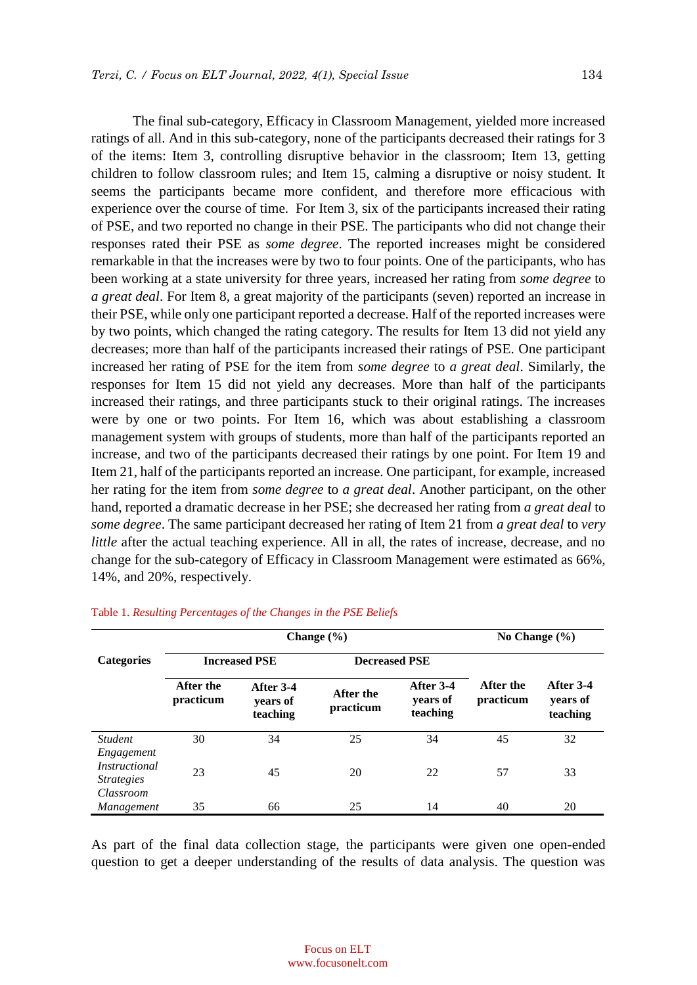The final sub-category, Efficacy in Classroom Management, yielded more increased ratings of all. And in this sub-category, none of the participants decreased their ratings for 3 of the items: Item 3, controlling disruptive behavior in the classroom; Item 13, getting children to follow classroom rules; and Item 15, calming a disruptive or noisy student. It seems the participants became more confident, and therefore more efficacious with experience over the course of time. For Item 3*,* six of the participants increased their rating of PSE, and two reported no change in their PSE. The participants who did not change their responses rated their PSE as *some degree*. The reported increases might be considered remarkable in that the increases were by two to four points. One of the participants, who has been working at a state university for three years, increased her rating from *some degree* to *a great deal*. For Item 8*,* a great majority of the participants (seven) reported an increase in their PSE, while only one participant reported a decrease. Half of the reported increases were by two points, which changed the rating category. The results for Item 13 did not yield any decreases; more than half of the participants increased their ratings of PSE. One participant increased her rating of PSE for the item from *some degree* to *a great deal*. Similarly, the responses for Item 15 did not yield any decreases. More than half of the participants increased their ratings, and three participants stuck to their original ratings. The increases were by one or two points. For Item 16*,* which was about establishing a classroom management system with groups of students, more than half of the participants reported an increase, and two of the participants decreased their ratings by one point. For Item 19 and Item 21*,* half of the participants reported an increase. One participant, for example, increased her rating for the item from *some degree* to *a great deal*. Another participant, on the other hand, reported a dramatic decrease in her PSE; she decreased her rating from *a great deal* to *some degree*. The same participant decreased her rating of Item 21 from *a great deal* to *very little* after the actual teaching experience. All in all, the rates of increase, decrease, and no change for the sub-category of Efficacy in Classroom Management were estimated as 66%, 14%, and 20%, respectively.

|                                                                      | Change $(\% )$         |                                   |                        |                                   | No Change $(\% )$      |                                   |
|----------------------------------------------------------------------|------------------------|-----------------------------------|------------------------|-----------------------------------|------------------------|-----------------------------------|
| <b>Categories</b>                                                    | <b>Increased PSE</b>   |                                   | <b>Decreased PSE</b>   |                                   |                        |                                   |
|                                                                      | After the<br>practicum | After 3-4<br>vears of<br>teaching | After the<br>practicum | After 3-4<br>vears of<br>teaching | After the<br>practicum | After 3-4<br>years of<br>teaching |
| <b>Student</b>                                                       | 30                     | 34                                | 25                     | 34                                | 45                     | 32                                |
| Engagement<br><i>Instructional</i><br><i>Strategies</i><br>Classroom | 23                     | 45                                | 20                     | 22                                | 57                     | 33                                |
| Management                                                           | 35                     | 66                                | 25                     | 14                                | 40                     | 20                                |

## Table 1. *Resulting Percentages of the Changes in the PSE Beliefs*

As part of the final data collection stage, the participants were given one open-ended question to get a deeper understanding of the results of data analysis. The question was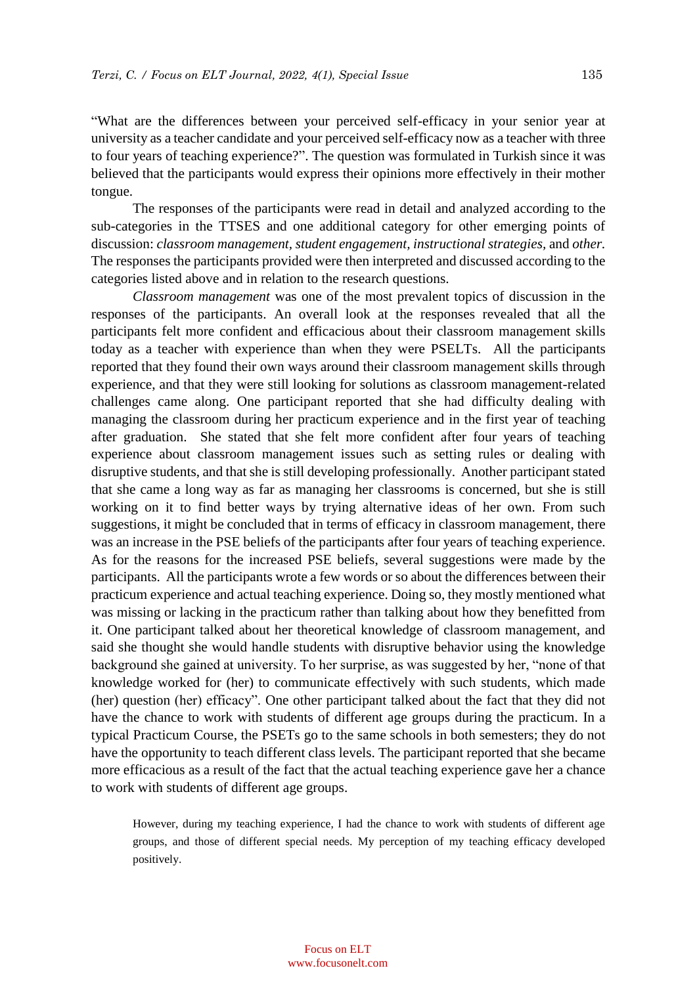"What are the differences between your perceived self-efficacy in your senior year at university as a teacher candidate and your perceived self-efficacy now as a teacher with three to four years of teaching experience?". The question was formulated in Turkish since it was believed that the participants would express their opinions more effectively in their mother tongue.

The responses of the participants were read in detail and analyzed according to the sub-categories in the TTSES and one additional category for other emerging points of discussion: *classroom management, student engagement, instructional strategies,* and *other.*  The responses the participants provided were then interpreted and discussed according to the categories listed above and in relation to the research questions.

*Classroom management* was one of the most prevalent topics of discussion in the responses of the participants. An overall look at the responses revealed that all the participants felt more confident and efficacious about their classroom management skills today as a teacher with experience than when they were PSELTs. All the participants reported that they found their own ways around their classroom management skills through experience, and that they were still looking for solutions as classroom management-related challenges came along. One participant reported that she had difficulty dealing with managing the classroom during her practicum experience and in the first year of teaching after graduation. She stated that she felt more confident after four years of teaching experience about classroom management issues such as setting rules or dealing with disruptive students, and that she is still developing professionally. Another participant stated that she came a long way as far as managing her classrooms is concerned, but she is still working on it to find better ways by trying alternative ideas of her own. From such suggestions, it might be concluded that in terms of efficacy in classroom management, there was an increase in the PSE beliefs of the participants after four years of teaching experience. As for the reasons for the increased PSE beliefs, several suggestions were made by the participants. All the participants wrote a few words or so about the differences between their practicum experience and actual teaching experience. Doing so, they mostly mentioned what was missing or lacking in the practicum rather than talking about how they benefitted from it. One participant talked about her theoretical knowledge of classroom management, and said she thought she would handle students with disruptive behavior using the knowledge background she gained at university. To her surprise, as was suggested by her, "none of that knowledge worked for (her) to communicate effectively with such students, which made (her) question (her) efficacy". One other participant talked about the fact that they did not have the chance to work with students of different age groups during the practicum. In a typical Practicum Course, the PSETs go to the same schools in both semesters; they do not have the opportunity to teach different class levels. The participant reported that she became more efficacious as a result of the fact that the actual teaching experience gave her a chance to work with students of different age groups.

However, during my teaching experience, I had the chance to work with students of different age groups, and those of different special needs. My perception of my teaching efficacy developed positively.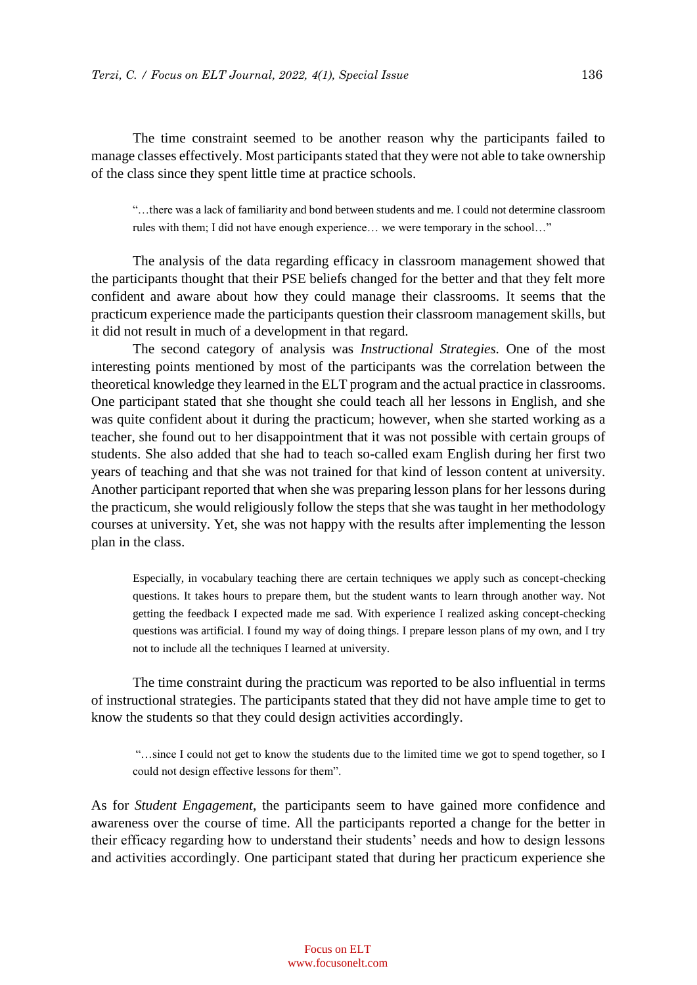The time constraint seemed to be another reason why the participants failed to manage classes effectively. Most participants stated that they were not able to take ownership of the class since they spent little time at practice schools.

"…there was a lack of familiarity and bond between students and me. I could not determine classroom rules with them; I did not have enough experience… we were temporary in the school…"

The analysis of the data regarding efficacy in classroom management showed that the participants thought that their PSE beliefs changed for the better and that they felt more confident and aware about how they could manage their classrooms. It seems that the practicum experience made the participants question their classroom management skills, but it did not result in much of a development in that regard.

The second category of analysis was *Instructional Strategies.* One of the most interesting points mentioned by most of the participants was the correlation between the theoretical knowledge they learned in the ELT program and the actual practice in classrooms. One participant stated that she thought she could teach all her lessons in English, and she was quite confident about it during the practicum; however, when she started working as a teacher, she found out to her disappointment that it was not possible with certain groups of students. She also added that she had to teach so-called exam English during her first two years of teaching and that she was not trained for that kind of lesson content at university. Another participant reported that when she was preparing lesson plans for her lessons during the practicum, she would religiously follow the steps that she was taught in her methodology courses at university. Yet, she was not happy with the results after implementing the lesson plan in the class.

Especially, in vocabulary teaching there are certain techniques we apply such as concept-checking questions. It takes hours to prepare them, but the student wants to learn through another way. Not getting the feedback I expected made me sad. With experience I realized asking concept-checking questions was artificial. I found my way of doing things. I prepare lesson plans of my own, and I try not to include all the techniques I learned at university.

The time constraint during the practicum was reported to be also influential in terms of instructional strategies. The participants stated that they did not have ample time to get to know the students so that they could design activities accordingly.

"…since I could not get to know the students due to the limited time we got to spend together, so I could not design effective lessons for them".

As for *Student Engagement*, the participants seem to have gained more confidence and awareness over the course of time. All the participants reported a change for the better in their efficacy regarding how to understand their students' needs and how to design lessons and activities accordingly. One participant stated that during her practicum experience she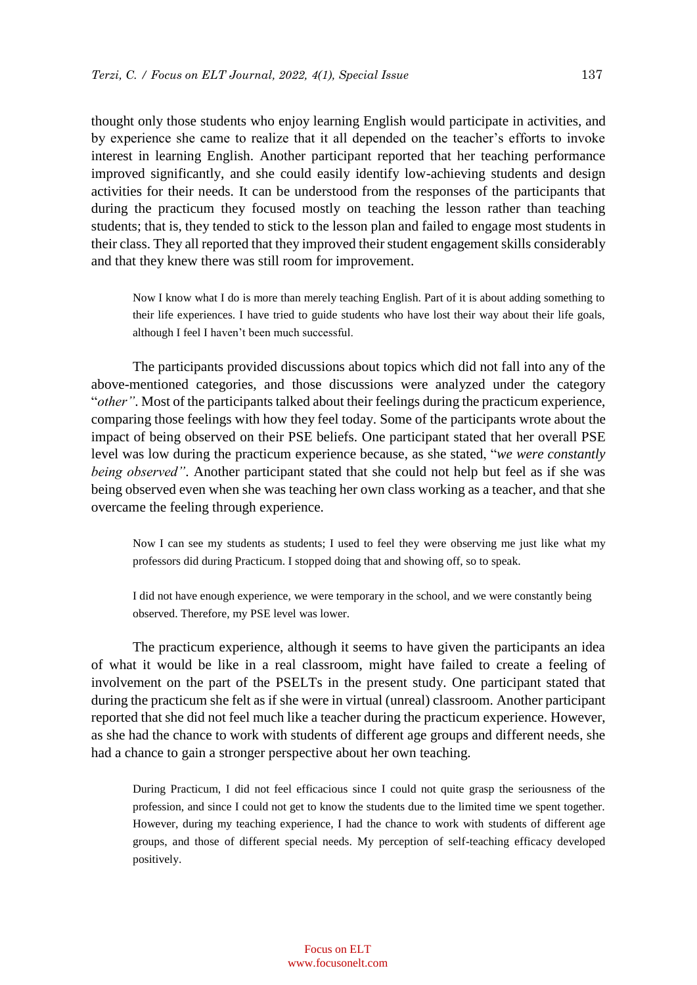thought only those students who enjoy learning English would participate in activities, and by experience she came to realize that it all depended on the teacher's efforts to invoke interest in learning English. Another participant reported that her teaching performance improved significantly, and she could easily identify low-achieving students and design activities for their needs. It can be understood from the responses of the participants that during the practicum they focused mostly on teaching the lesson rather than teaching students; that is, they tended to stick to the lesson plan and failed to engage most students in their class. They all reported that they improved their student engagement skills considerably and that they knew there was still room for improvement.

Now I know what I do is more than merely teaching English. Part of it is about adding something to their life experiences. I have tried to guide students who have lost their way about their life goals, although I feel I haven't been much successful.

The participants provided discussions about topics which did not fall into any of the above-mentioned categories, and those discussions were analyzed under the category "*other"*. Most of the participants talked about their feelings during the practicum experience, comparing those feelings with how they feel today. Some of the participants wrote about the impact of being observed on their PSE beliefs. One participant stated that her overall PSE level was low during the practicum experience because, as she stated, "*we were constantly being observed"*. Another participant stated that she could not help but feel as if she was being observed even when she was teaching her own class working as a teacher, and that she overcame the feeling through experience.

Now I can see my students as students; I used to feel they were observing me just like what my professors did during Practicum. I stopped doing that and showing off, so to speak.

I did not have enough experience, we were temporary in the school, and we were constantly being observed. Therefore, my PSE level was lower.

The practicum experience, although it seems to have given the participants an idea of what it would be like in a real classroom, might have failed to create a feeling of involvement on the part of the PSELTs in the present study. One participant stated that during the practicum she felt as if she were in virtual (unreal) classroom. Another participant reported that she did not feel much like a teacher during the practicum experience. However, as she had the chance to work with students of different age groups and different needs, she had a chance to gain a stronger perspective about her own teaching.

During Practicum, I did not feel efficacious since I could not quite grasp the seriousness of the profession, and since I could not get to know the students due to the limited time we spent together. However, during my teaching experience, I had the chance to work with students of different age groups, and those of different special needs. My perception of self-teaching efficacy developed positively.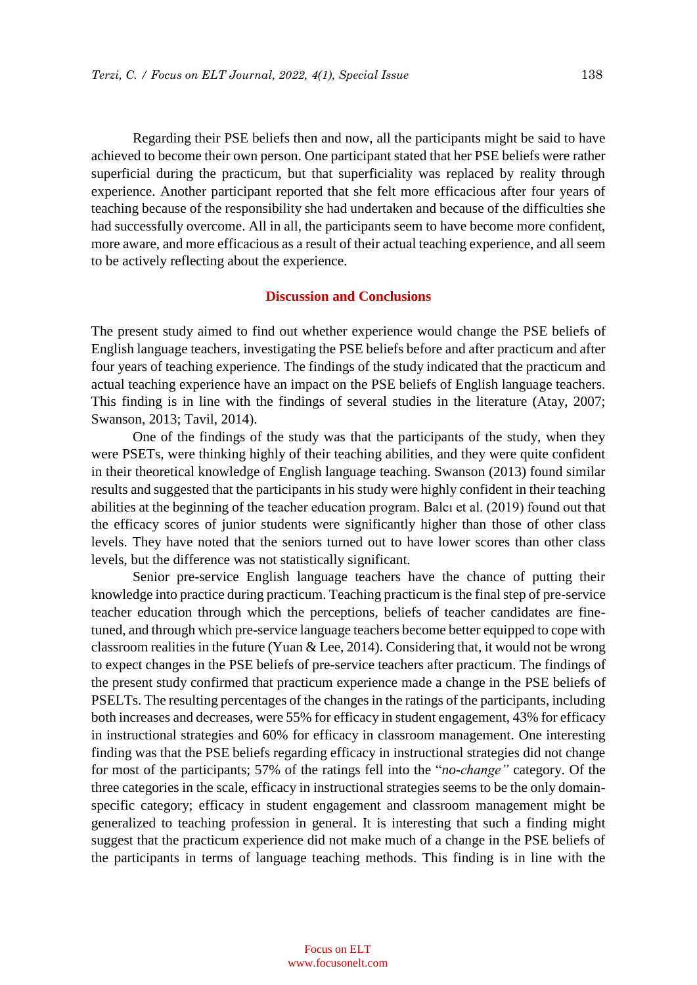Regarding their PSE beliefs then and now, all the participants might be said to have achieved to become their own person. One participant stated that her PSE beliefs were rather superficial during the practicum, but that superficiality was replaced by reality through experience. Another participant reported that she felt more efficacious after four years of teaching because of the responsibility she had undertaken and because of the difficulties she had successfully overcome. All in all, the participants seem to have become more confident, more aware, and more efficacious as a result of their actual teaching experience, and all seem to be actively reflecting about the experience.

## **Discussion and Conclusions**

The present study aimed to find out whether experience would change the PSE beliefs of English language teachers, investigating the PSE beliefs before and after practicum and after four years of teaching experience. The findings of the study indicated that the practicum and actual teaching experience have an impact on the PSE beliefs of English language teachers. This finding is in line with the findings of several studies in the literature (Atay, 2007; Swanson, 2013; Tavil, 2014).

One of the findings of the study was that the participants of the study, when they were PSETs, were thinking highly of their teaching abilities, and they were quite confident in their theoretical knowledge of English language teaching. Swanson (2013) found similar results and suggested that the participants in his study were highly confident in their teaching abilities at the beginning of the teacher education program. Balcı et al. (2019) found out that the efficacy scores of junior students were significantly higher than those of other class levels. They have noted that the seniors turned out to have lower scores than other class levels, but the difference was not statistically significant.

Senior pre-service English language teachers have the chance of putting their knowledge into practice during practicum. Teaching practicum is the final step of pre-service teacher education through which the perceptions, beliefs of teacher candidates are finetuned, and through which pre-service language teachers become better equipped to cope with classroom realities in the future (Yuan & Lee, 2014). Considering that, it would not be wrong to expect changes in the PSE beliefs of pre-service teachers after practicum. The findings of the present study confirmed that practicum experience made a change in the PSE beliefs of PSELTs. The resulting percentages of the changes in the ratings of the participants, including both increases and decreases, were 55% for efficacy in student engagement, 43% for efficacy in instructional strategies and 60% for efficacy in classroom management. One interesting finding was that the PSE beliefs regarding efficacy in instructional strategies did not change for most of the participants; 57% of the ratings fell into the "*no-change"* category. Of the three categories in the scale, efficacy in instructional strategies seems to be the only domainspecific category; efficacy in student engagement and classroom management might be generalized to teaching profession in general. It is interesting that such a finding might suggest that the practicum experience did not make much of a change in the PSE beliefs of the participants in terms of language teaching methods. This finding is in line with the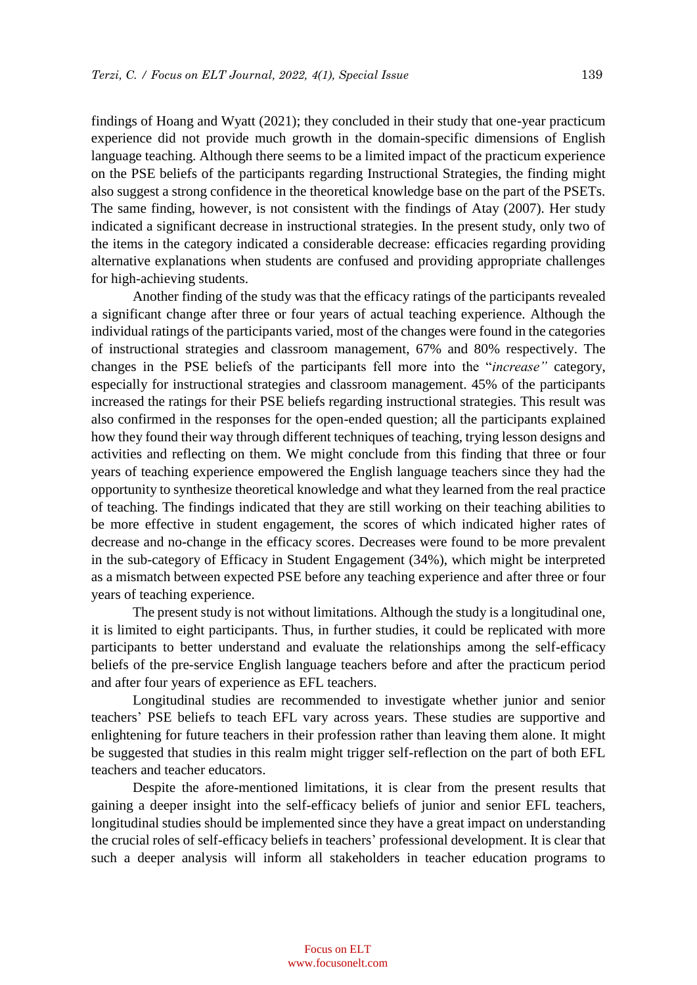findings of Hoang and Wyatt (2021); they concluded in their study that one-year practicum experience did not provide much growth in the domain-specific dimensions of English language teaching. Although there seems to be a limited impact of the practicum experience on the PSE beliefs of the participants regarding Instructional Strategies, the finding might also suggest a strong confidence in the theoretical knowledge base on the part of the PSETs. The same finding, however, is not consistent with the findings of Atay (2007). Her study indicated a significant decrease in instructional strategies. In the present study, only two of the items in the category indicated a considerable decrease: efficacies regarding providing alternative explanations when students are confused and providing appropriate challenges for high-achieving students.

Another finding of the study was that the efficacy ratings of the participants revealed a significant change after three or four years of actual teaching experience. Although the individual ratings of the participants varied, most of the changes were found in the categories of instructional strategies and classroom management, 67% and 80% respectively. The changes in the PSE beliefs of the participants fell more into the "*increase"* category, especially for instructional strategies and classroom management. 45% of the participants increased the ratings for their PSE beliefs regarding instructional strategies. This result was also confirmed in the responses for the open-ended question; all the participants explained how they found their way through different techniques of teaching, trying lesson designs and activities and reflecting on them. We might conclude from this finding that three or four years of teaching experience empowered the English language teachers since they had the opportunity to synthesize theoretical knowledge and what they learned from the real practice of teaching. The findings indicated that they are still working on their teaching abilities to be more effective in student engagement, the scores of which indicated higher rates of decrease and no-change in the efficacy scores. Decreases were found to be more prevalent in the sub-category of Efficacy in Student Engagement (34%), which might be interpreted as a mismatch between expected PSE before any teaching experience and after three or four years of teaching experience.

The present study is not without limitations. Although the study is a longitudinal one, it is limited to eight participants. Thus, in further studies, it could be replicated with more participants to better understand and evaluate the relationships among the self-efficacy beliefs of the pre-service English language teachers before and after the practicum period and after four years of experience as EFL teachers.

Longitudinal studies are recommended to investigate whether junior and senior teachers' PSE beliefs to teach EFL vary across years. These studies are supportive and enlightening for future teachers in their profession rather than leaving them alone. It might be suggested that studies in this realm might trigger self-reflection on the part of both EFL teachers and teacher educators.

Despite the afore-mentioned limitations, it is clear from the present results that gaining a deeper insight into the self-efficacy beliefs of junior and senior EFL teachers, longitudinal studies should be implemented since they have a great impact on understanding the crucial roles of self-efficacy beliefs in teachers' professional development. It is clear that such a deeper analysis will inform all stakeholders in teacher education programs to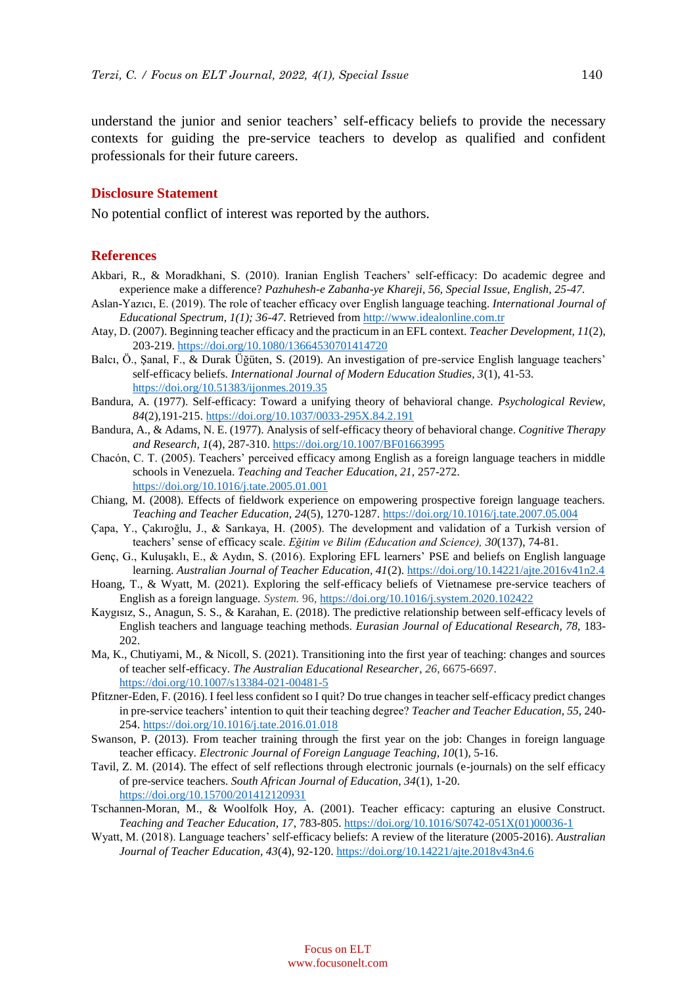understand the junior and senior teachers' self-efficacy beliefs to provide the necessary contexts for guiding the pre-service teachers to develop as qualified and confident professionals for their future careers.

#### **Disclosure Statement**

No potential conflict of interest was reported by the authors.

#### **References**

- Akbari, R., & Moradkhani, S. (2010). Iranian English Teachers' self-efficacy: Do academic degree and experience make a difference? *Pazhuhesh-e Zabanha-ye Khareji, 56, Special Issue, English, 25-47.*
- Aslan-Yazıcı, E. (2019). The role of teacher efficacy over English language teaching. *International Journal of Educational Spectrum, 1(1); 36-47.* Retrieved from [http://www.idealonline.com.tr](http://www.idealonline.com.tr/)
- Atay, D. (2007). Beginning teacher efficacy and the practicum in an EFL context. *Teacher Development, 11*(2), 203-219[. https://doi.org/10.1080/13664530701414720](https://doi.org/10.1080/13664530701414720)
- Balcı, Ö., Şanal, F., & Durak Üğüten, S. (2019). An investigation of pre-service English language teachers' self-efficacy beliefs. *International Journal of Modern Education Studies, 3*(1), 41-53. <https://doi.org/10.51383/ijonmes.2019.35>
- Bandura, A. (1977). Self-efficacy: Toward a unifying theory of behavioral change. *Psychological Review, 84*(2),191-215.<https://doi.org/10.1037/0033-295X.84.2.191>
- Bandura, A., & Adams, N. E. (1977). Analysis of self-efficacy theory of behavioral change. *Cognitive Therapy and Research, 1*(4), 287-310.<https://doi.org/10.1007/BF01663995>
- Chacón, C. T. (2005). Teachers' perceived efficacy among English as a foreign language teachers in middle schools in Venezuela. *Teaching and Teacher Education, 21,* 257-272. <https://doi.org/10.1016/j.tate.2005.01.001>
- Chiang, M. (2008). Effects of fieldwork experience on empowering prospective foreign language teachers. *Teaching and Teacher Education, 24*(5), 1270-1287. <https://doi.org/10.1016/j.tate.2007.05.004>
- Çapa, Y., Çakıroğlu, J., & Sarıkaya, H. (2005). The development and validation of a Turkish version of teachers' sense of efficacy scale. *Eğitim ve Bilim (Education and Science), 30*(137), 74-81.
- Genç, G., Kuluşaklı, E., & Aydın, S. (2016). Exploring EFL learners' PSE and beliefs on English language learning. *Australian Journal of Teacher Education, 41*(2). <https://doi.org/10.14221/ajte.2016v41n2.4>
- Hoang, T., & Wyatt, M. (2021). Exploring the self-efficacy beliefs of Vietnamese pre-service teachers of English as a foreign language. *System.* 96,<https://doi.org/10.1016/j.system.2020.102422>
- Kaygısız, S., Anagun, S. S., & Karahan, E. (2018). The predictive relationship between self-efficacy levels of English teachers and language teaching methods. *Eurasian Journal of Educational Research, 78,* 183- 202.
- Ma, K., Chutiyami, M., & Nicoll, S. (2021). Transitioning into the first year of teaching: changes and sources of teacher self-efficacy. *The Australian Educational Researcher, 26*, 6675-6697. <https://doi.org/10.1007/s13384-021-00481-5>
- Pfitzner-Eden, F. (2016). I feel less confident so I quit? Do true changes in teacher self-efficacy predict changes in pre-service teachers' intention to quit their teaching degree? *Teacher and Teacher Education, 55,* 240- 254.<https://doi.org/10.1016/j.tate.2016.01.018>
- Swanson, P. (2013). From teacher training through the first year on the job: Changes in foreign language teacher efficacy. *Electronic Journal of Foreign Language Teaching, 10*(1), 5-16.
- Tavil, Z. M. (2014). The effect of self reflections through electronic journals (e-journals) on the self efficacy of pre-service teachers. *South African Journal of Education, 34*(1), 1-20. <https://doi.org/10.15700/201412120931>
- Tschannen-Moran, M., & Woolfolk Hoy, A. (2001). Teacher efficacy: capturing an elusive Construct. *Teaching and Teacher Education, 17*, 783-805. [https://doi.org/10.1016/S0742-051X\(01\)00036-1](https://doi.org/10.1016/S0742-051X(01)00036-1)
- Wyatt, M. (2018). Language teachers' self-efficacy beliefs: A review of the literature (2005-2016). *Australian Journal of Teacher Education, 43*(4), 92-120. <https://doi.org/10.14221/ajte.2018v43n4.6>